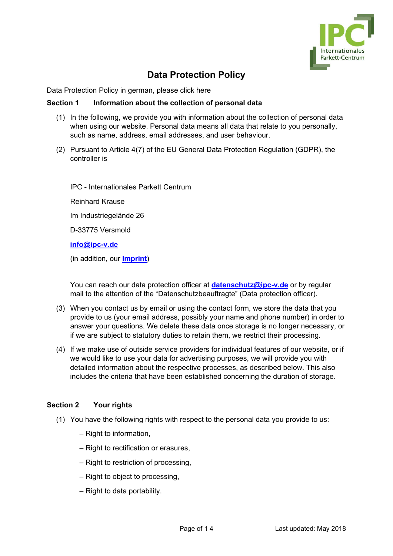

# **Data Protection Policy**

[Data Protection Policy in](/../wp-content/uploads/Datenschutzerklaerung_Webseite.pdf) german, please click here

### **Section 1 Information about the collection of personal data**

- (1) In the following, we provide you with information about the collection of personal data when using our website. Personal data means all data that relate to you personally, such as name, address, email addresses, and user behaviour.
- (2) Pursuant to Article 4(7) of the EU General Data Protection Regulation (GDPR), the controller is

IPC - Internationales Parkett Centrum

Reinhard Krause

Im Industriegelände 26

D-33775 Versmold

**[info@ipc-v.de](mailto:info@ipc-v.de)**

(in addition, our **[Imprint](http://www.ipc-v.de/html/impressum.html)**)

You can reach our data protection officer at **[datenschutz@ipc-v.de](mailto:datenschutz@ipc-v.de)** or by regular mail to the attention of the "Datenschutzbeauftragte" (Data protection officer).

- (3) When you contact us by email or using the contact form, we store the data that you provide to us (your email address, possibly your name and phone number) in order to answer your questions. We delete these data once storage is no longer necessary, or if we are subject to statutory duties to retain them, we restrict their processing.
- (4) If we make use of outside service providers for individual features of our website, or if we would like to use your data for advertising purposes, we will provide you with detailed information about the respective processes, as described below. This also includes the criteria that have been established concerning the duration of storage.

### **Section 2 Your rights**

- (1) You have the following rights with respect to the personal data you provide to us:
	- Right to information,
	- Right to rectification or erasures,
	- Right to restriction of processing,
	- Right to object to processing,
	- Right to data portability.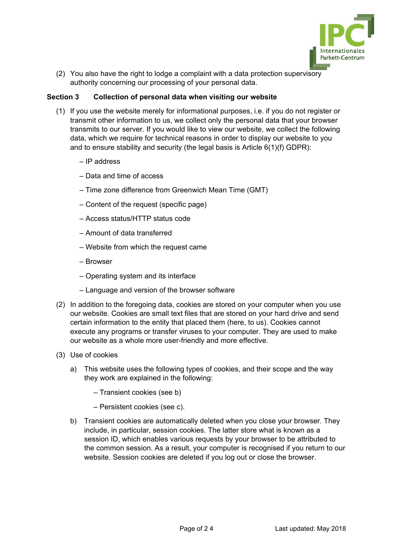

(2) You also have the right to lodge a complaint with a data protection supervisory authority concerning our processing of your personal data.

# **Section 3 Collection of personal data when visiting our website**

- (1) If you use the website merely for informational purposes, i.e. if you do not register or transmit other information to us, we collect only the personal data that your browser transmits to our server. If you would like to view our website, we collect the following data, which we require for technical reasons in order to display our website to you and to ensure stability and security (the legal basis is Article 6(1)(f) GDPR):
	- IP address
	- Data and time of access
	- Time zone difference from Greenwich Mean Time (GMT)
	- Content of the request (specific page)
	- Access status/HTTP status code
	- Amount of data transferred
	- Website from which the request came
	- Browser
	- Operating system and its interface
	- Language and version of the browser software
- (2) In addition to the foregoing data, cookies are stored on your computer when you use our website. Cookies are small text files that are stored on your hard drive and send certain information to the entity that placed them (here, to us). Cookies cannot execute any programs or transfer viruses to your computer. They are used to make our website as a whole more user-friendly and more effective.
- (3) Use of cookies
	- a) This website uses the following types of cookies, and their scope and the way they work are explained in the following:
		- Transient cookies (see b)
		- Persistent cookies (see c).
	- b) Transient cookies are automatically deleted when you close your browser. They include, in particular, session cookies. The latter store what is known as a session ID, which enables various requests by your browser to be attributed to the common session. As a result, your computer is recognised if you return to our website. Session cookies are deleted if you log out or close the browser.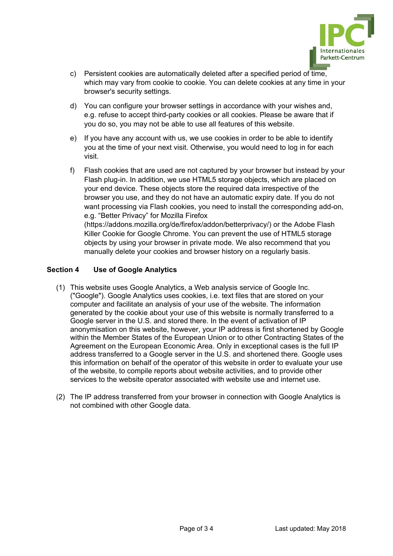

- c) Persistent cookies are automatically deleted after a specified period of time, which may vary from cookie to cookie. You can delete cookies at any time in your browser's security settings.
- d) You can configure your browser settings in accordance with your wishes and, e.g. refuse to accept third-party cookies or all cookies. Please be aware that if you do so, you may not be able to use all features of this website.
- e) If you have any account with us, we use cookies in order to be able to identify you at the time of your next visit. Otherwise, you would need to log in for each visit.
- f) Flash cookies that are used are not captured by your browser but instead by your Flash plug-in. In addition, we use HTML5 storage objects, which are placed on your end device. These objects store the required data irrespective of the browser you use, and they do not have an automatic expiry date. If you do not want processing via Flash cookies, you need to install the corresponding add-on, e.g. "Better Privacy" for Mozilla Firefox [\(https://addons.mozilla.org/de/firefox/addon/betterprivacy/\) or](https://addons.mozilla.org/de/firefox/addon/betterprivacy/) the Adobe Flash Killer Cookie for Google Chrome. You can prevent the use of HTML5 storage objects by using your browser in private mode. We also recommend that you manually delete your cookies and browser history on a regularly basis.

# **Section 4 Use of Google Analytics**

- (1) This website uses Google Analytics, a Web analysis service of Google Inc. ("Google"). Google Analytics uses cookies, i.e. text files that are stored on your computer and facilitate an analysis of your use of the website. The information generated by the cookie about your use of this website is normally transferred to a Google server in the U.S. and stored there. In the event of activation of IP anonymisation on this website, however, your IP address is first shortened by Google within the Member States of the European Union or to other Contracting States of the Agreement on the European Economic Area. Only in exceptional cases is the full IP address transferred to a Google server in the U.S. and shortened there. Google uses this information on behalf of the operator of this website in order to evaluate your use of the website, to compile reports about website activities, and to provide other services to the website operator associated with website use and internet use.
- (2) The IP address transferred from your browser in connection with Google Analytics is not combined with other Google data.